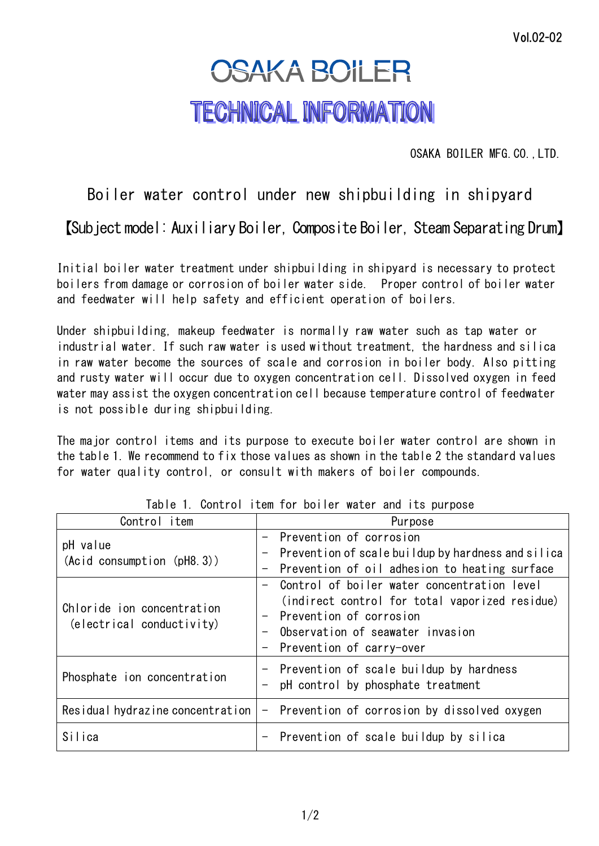## **OSAKA BOILER TECHNICAL INFORMATION**

OSAKA BOILER MFG.CO.,LTD.

## Boiler water control under new shipbuilding in shipyard

【Subject model: Auxiliary Boiler, Composite Boiler, Steam Separating Drum】

Initial boiler water treatment under shipbuilding in shipyard is necessary to protect boilers from damage or corrosion of boiler water side. Proper control of boiler water and feedwater will help safety and efficient operation of boilers.

Under shipbuilding, makeup feedwater is normally raw water such as tap water or industrial water. If such raw water is used without treatment, the hardness and silica in raw water become the sources of scale and corrosion in boiler body. Also pitting and rusty water will occur due to oxygen concentration cell. Dissolved oxygen in feed water may assist the oxygen concentration cell because temperature control of feedwater is not possible during shipbuilding.

The major control items and its purpose to execute boiler water control are shown in the table 1. We recommend to fix those values as shown in the table 2 the standard values for water quality control, or consult with makers of boiler compounds.

| Control item                                            | Purpose                                            |  |  |
|---------------------------------------------------------|----------------------------------------------------|--|--|
| pH value<br>(Acid consumption (pH8.3))                  | - Prevention of corrosion                          |  |  |
|                                                         | Prevention of scale buildup by hardness and silica |  |  |
|                                                         | Prevention of oil adhesion to heating surface      |  |  |
| Chloride ion concentration<br>(electrical conductivity) | Control of boiler water concentration level        |  |  |
|                                                         | (indirect control for total vaporized residue)     |  |  |
|                                                         | - Prevention of corrosion                          |  |  |
|                                                         | Observation of seawater invasion                   |  |  |
|                                                         | - Prevention of carry-over                         |  |  |
| Phosphate ion concentration                             | - Prevention of scale buildup by hardness          |  |  |
|                                                         | pH control by phosphate treatment                  |  |  |
| Residual hydrazine concentration                        | - Prevention of corrosion by dissolved oxygen      |  |  |
| Silica                                                  | - Prevention of scale buildup by silica            |  |  |

Table 1. Control item for boiler water and its purpose